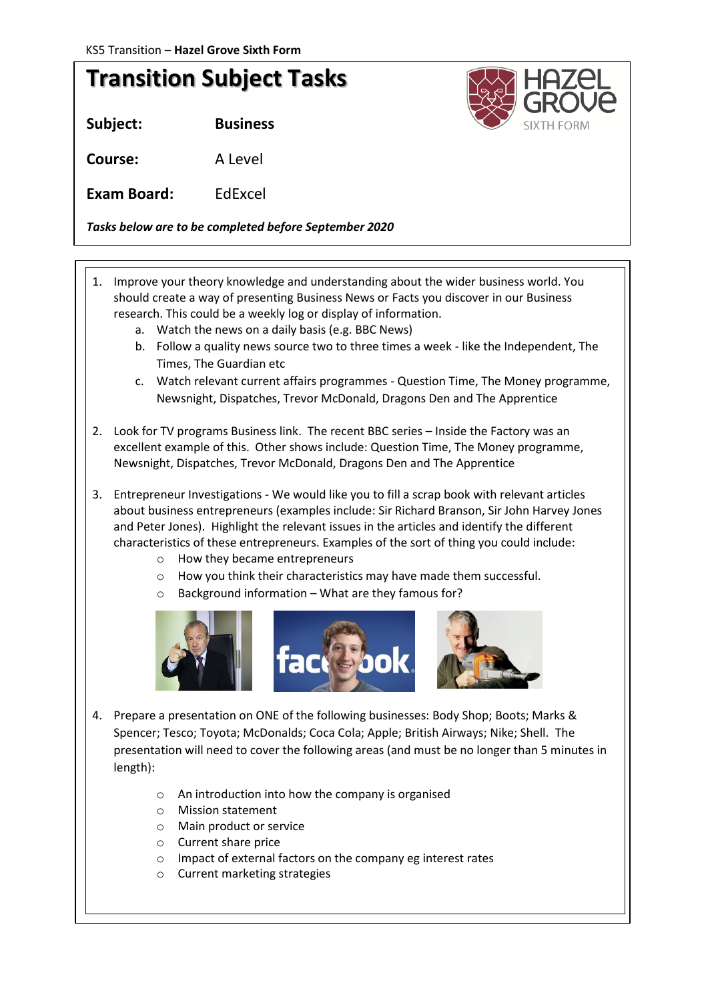## **Transition Subject Tasks**

**Subject: Business**

**Course:** A Level

**Exam Board:** EdExcel

*Tasks below are to be completed before September 2020*

- 1. Improve your theory knowledge and understanding about the wider business world. You should create a way of presenting Business News or Facts you discover in our Business research. This could be a weekly log or display of information.
	- a. Watch the news on a daily basis (e.g. BBC News)
	- b. Follow a quality news source two to three times a week like the Independent, The Times, The Guardian etc
	- c. Watch relevant current affairs programmes Question Time, The Money programme, Newsnight, Dispatches, Trevor McDonald, Dragons Den and The Apprentice
- 2. Look for TV programs Business link. The recent BBC series Inside the Factory was an excellent example of this. Other shows include: Question Time, The Money programme, Newsnight, Dispatches, Trevor McDonald, Dragons Den and The Apprentice
- 3. Entrepreneur Investigations We would like you to fill a scrap book with relevant articles about business entrepreneurs (examples include: Sir Richard Branson, Sir John Harvey Jones and Peter Jones). Highlight the relevant issues in the articles and identify the different characteristics of these entrepreneurs. Examples of the sort of thing you could include:
	- o How they became entrepreneurs
	- o How you think their characteristics may have made them successful.
	- o Background information What are they famous for?



- 4. Prepare a presentation on ONE of the following businesses: Body Shop; Boots; Marks & Spencer; Tesco; Toyota; McDonalds; Coca Cola; Apple; British Airways; Nike; Shell. The presentation will need to cover the following areas (and must be no longer than 5 minutes in length):
	- o An introduction into how the company is organised
	- o Mission statement
	- o Main product or service
	- o Current share price
	- o Impact of external factors on the company eg interest rates
	- o Current marketing strategies